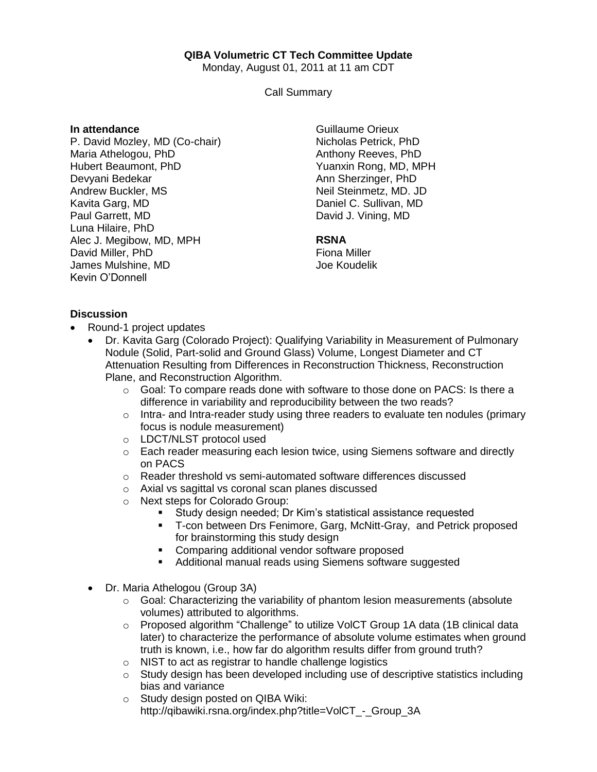## **QIBA Volumetric CT Tech Committee Update**

Monday, August 01, 2011 at 11 am CDT

Call Summary

#### **In attendance**

P. David Mozley, MD (Co-chair) Maria Athelogou, PhD Hubert Beaumont, PhD Devyani Bedekar Andrew Buckler, MS Kavita Garg, MD Paul Garrett, MD Luna Hilaire, PhD Alec J. Megibow, MD, MPH David Miller, PhD James Mulshine, MD Kevin O'Donnell

Guillaume Orieux Nicholas Petrick, PhD Anthony Reeves, PhD Yuanxin Rong, MD, MPH Ann Sherzinger, PhD Neil Steinmetz, MD. JD Daniel C. Sullivan, MD David J. Vining, MD

#### **RSNA**

Fiona Miller Joe Koudelik

### **Discussion**

- Round-1 project updates
	- Dr. Kavita Garg (Colorado Project): Qualifying Variability in Measurement of Pulmonary Nodule (Solid, Part-solid and Ground Glass) Volume, Longest Diameter and CT Attenuation Resulting from Differences in Reconstruction Thickness, Reconstruction Plane, and Reconstruction Algorithm.
		- $\circ$  Goal: To compare reads done with software to those done on PACS: Is there a difference in variability and reproducibility between the two reads?
		- $\circ$  Intra- and Intra-reader study using three readers to evaluate ten nodules (primary focus is nodule measurement)
		- o LDCT/NLST protocol used
		- $\circ$  Each reader measuring each lesion twice, using Siemens software and directly on PACS
		- o Reader threshold vs semi-automated software differences discussed
		- o Axial vs sagittal vs coronal scan planes discussed
		- o Next steps for Colorado Group:
			- Study design needed; Dr Kim's statistical assistance requested
			- T-con between Drs Fenimore, Garg, McNitt-Gray, and Petrick proposed for brainstorming this study design
			- **Comparing additional vendor software proposed**
			- **Additional manual reads using Siemens software suggested**
	- Dr. Maria Athelogou (Group 3A)
		- o Goal: Characterizing the variability of phantom lesion measurements (absolute volumes) attributed to algorithms.
		- $\circ$  Proposed algorithm "Challenge" to utilize VolCT Group 1A data (1B clinical data later) to characterize the performance of absolute volume estimates when ground truth is known, i.e., how far do algorithm results differ from ground truth?
		- o NIST to act as registrar to handle challenge logistics
		- $\circ$  Study design has been developed including use of descriptive statistics including bias and variance
		- o Study design posted on QIBA Wiki: http://qibawiki.rsna.org/index.php?title=VolCT\_-\_Group\_3A